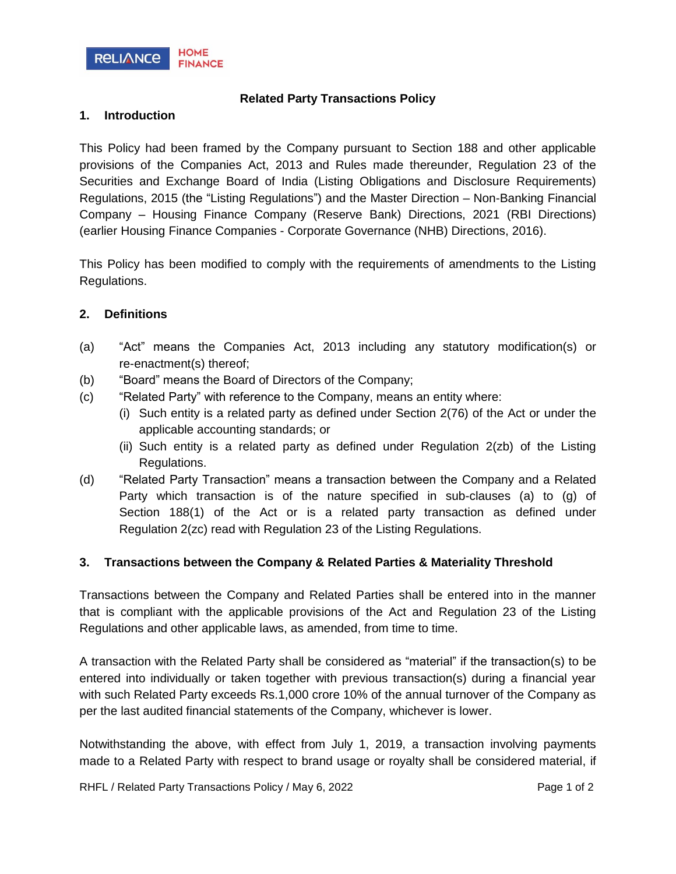

# **Related Party Transactions Policy**

### **1. Introduction**

This Policy had been framed by the Company pursuant to Section 188 and other applicable provisions of the Companies Act, 2013 and Rules made thereunder, Regulation 23 of the Securities and Exchange Board of India (Listing Obligations and Disclosure Requirements) Regulations, 2015 (the "Listing Regulations") and the Master Direction – Non-Banking Financial Company – Housing Finance Company (Reserve Bank) Directions, 2021 (RBI Directions) (earlier Housing Finance Companies - Corporate Governance (NHB) Directions, 2016).

This Policy has been modified to comply with the requirements of amendments to the Listing Regulations.

### **2. Definitions**

- (a) "Act" means the Companies Act, 2013 including any statutory modification(s) or re-enactment(s) thereof;
- (b) "Board" means the Board of Directors of the Company;
- (c) "Related Party" with reference to the Company, means an entity where:
	- (i) Such entity is a related party as defined under Section 2(76) of the Act or under the applicable accounting standards; or
	- (ii) Such entity is a related party as defined under Regulation 2(zb) of the Listing Regulations.
- (d) "Related Party Transaction" means a transaction between the Company and a Related Party which transaction is of the nature specified in sub-clauses (a) to (g) of Section 188(1) of the Act or is a related party transaction as defined under Regulation 2(zc) read with Regulation 23 of the Listing Regulations.

# **3. Transactions between the Company & Related Parties & Materiality Threshold**

Transactions between the Company and Related Parties shall be entered into in the manner that is compliant with the applicable provisions of the Act and Regulation 23 of the Listing Regulations and other applicable laws, as amended, from time to time.

A transaction with the Related Party shall be considered as "material" if the transaction(s) to be entered into individually or taken together with previous transaction(s) during a financial year with such Related Party exceeds Rs.1,000 crore 10% of the annual turnover of the Company as per the last audited financial statements of the Company, whichever is lower.

Notwithstanding the above, with effect from July 1, 2019, a transaction involving payments made to a Related Party with respect to brand usage or royalty shall be considered material, if